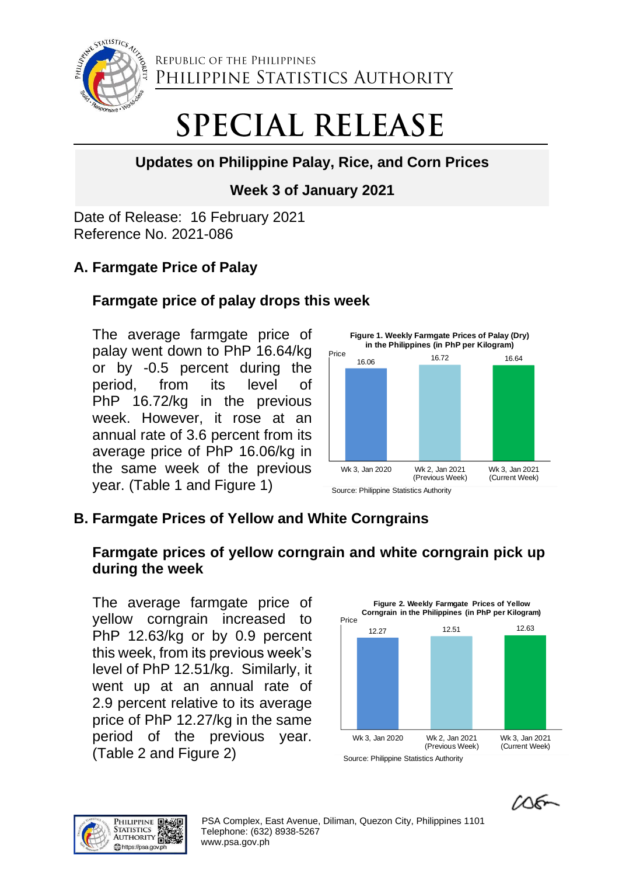

REPUBLIC OF THE PHILIPPINES PHILIPPINE STATISTICS AUTHORITY

# **SPECIAL RELEASE**

# **Updates on Philippine Palay, Rice, and Corn Prices**

# **Week 3 of January 2021**

Date of Release: 16 February 2021 Reference No. 2021-086

# **A. Farmgate Price of Palay**

## **Farmgate price of palay drops this week**

The average farmgate price of palay went down to PhP 16.64/kg or by -0.5 percent during the period, from its level of PhP 16.72/kg in the previous week. However, it rose at an annual rate of 3.6 percent from its average price of PhP 16.06/kg in the same week of the previous year. (Table 1 and Figure 1)



# **B. Farmgate Prices of Yellow and White Corngrains**

## **Farmgate prices of yellow corngrain and white corngrain pick up during the week**

The average farmgate price of yellow corngrain increased to PhP 12.63/kg or by 0.9 percent this week, from its previous week's level of PhP 12.51/kg. Similarly, it went up at an annual rate of 2.9 percent relative to its average price of PhP 12.27/kg in the same period of the previous year. (Table 2 and Figure 2)



 $106 -$ 

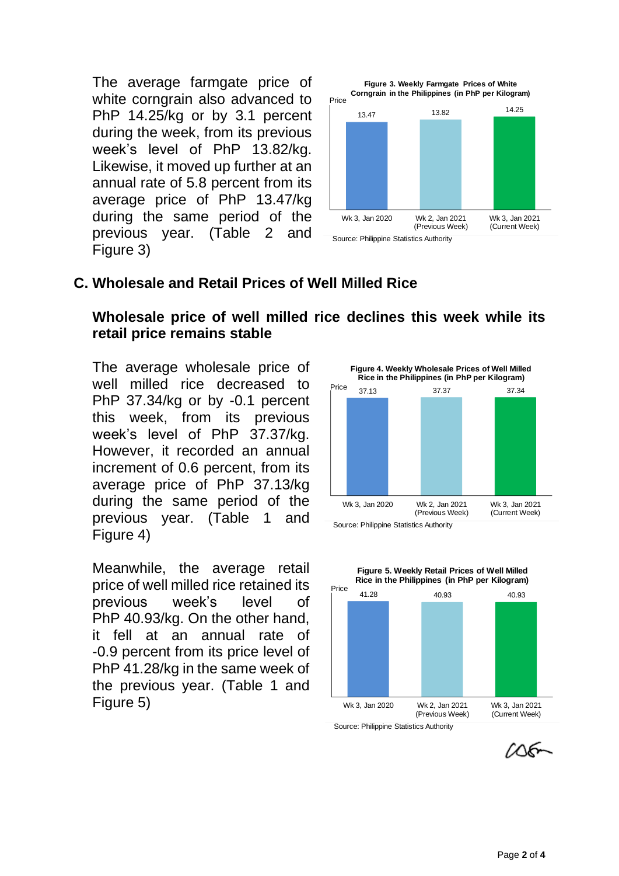The average farmgate price of white corngrain also advanced to PhP 14.25/kg or by 3.1 percent during the week, from its previous week's level of PhP 13.82/kg. Likewise, it moved up further at an annual rate of 5.8 percent from its average price of PhP 13.47/kg during the same period of the previous year. (Table 2 and Figure 3)



#### **C. Wholesale and Retail Prices of Well Milled Rice**

#### **Wholesale price of well milled rice declines this week while its retail price remains stable**

The average wholesale price of well milled rice decreased to PhP 37.34/kg or by -0.1 percent this week, from its previous week's level of PhP 37.37/kg. However, it recorded an annual increment of 0.6 percent, from its average price of PhP 37.13/kg during the same period of the previous year. (Table 1 and Figure 4)

Meanwhile, the average retail price of well milled rice retained its previous week's level of PhP 40.93/kg. On the other hand, it fell at an annual rate of -0.9 percent from its price level of PhP 41.28/kg in the same week of the previous year. (Table 1 and Figure 5)





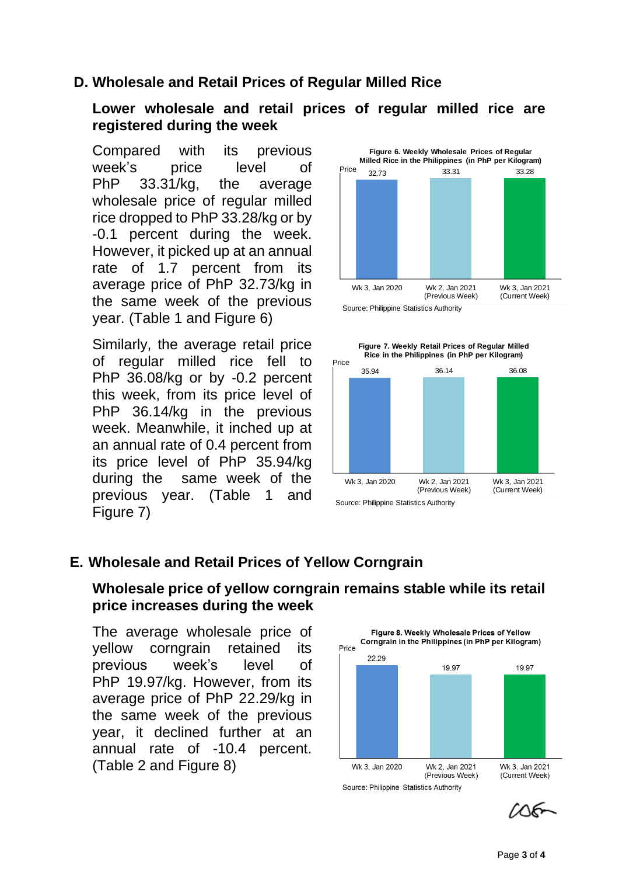## **D. Wholesale and Retail Prices of Regular Milled Rice**

#### **Lower wholesale and retail prices of regular milled rice are registered during the week**

Compared with its previous week's price level of PhP 33.31/kg, the average wholesale price of regular milled rice dropped to PhP 33.28/kg or by -0.1 percent during the week. However, it picked up at an annual rate of 1.7 percent from its average price of PhP 32.73/kg in the same week of the previous year. (Table 1 and Figure 6)

Similarly, the average retail price of regular milled rice fell to PhP 36.08/kg or by -0.2 percent this week, from its price level of PhP 36.14/kg in the previous week. Meanwhile, it inched up at an annual rate of 0.4 percent from its price level of PhP 35.94/kg during the same week of the previous year. (Table 1 and Figure 7)





## **E. Wholesale and Retail Prices of Yellow Corngrain**

#### **Wholesale price of yellow corngrain remains stable while its retail price increases during the week**

The average wholesale price of yellow corngrain retained its previous week's level of PhP 19.97/kg. However, from its average price of PhP 22.29/kg in the same week of the previous year, it declined further at an annual rate of -10.4 percent. (Table 2 and Figure 8)